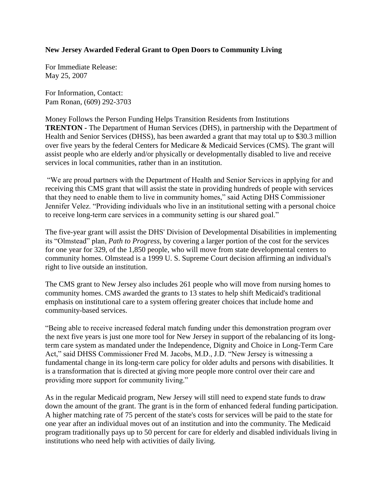## **New Jersey Awarded Federal Grant to Open Doors to Community Living**

For Immediate Release: May 25, 2007

For Information, Contact: Pam Ronan, (609) 292-3703

Money Follows the Person Funding Helps Transition Residents from Institutions **TRENTON -** The Department of Human Services (DHS), in partnership with the Department of Health and Senior Services (DHSS), has been awarded a grant that may total up to \$30.3 million over five years by the federal Centers for Medicare & Medicaid Services (CMS). The grant will assist people who are elderly and/or physically or developmentally disabled to live and receive services in local communities, rather than in an institution.

"We are proud partners with the Department of Health and Senior Services in applying for and receiving this CMS grant that will assist the state in providing hundreds of people with services that they need to enable them to live in community homes," said Acting DHS Commissioner Jennifer Velez. "Providing individuals who live in an institutional setting with a personal choice to receive long-term care services in a community setting is our shared goal."

The five-year grant will assist the DHS' Division of Developmental Disabilities in implementing its "Olmstead" plan, *Path to Progress*, by covering a larger portion of the cost for the services for one year for 329, of the 1,850 people, who will move from state developmental centers to community homes. Olmstead is a 1999 U. S. Supreme Court decision affirming an individual's right to live outside an institution.

The CMS grant to New Jersey also includes 261 people who will move from nursing homes to community homes. CMS awarded the grants to 13 states to help shift Medicaid's traditional emphasis on institutional care to a system offering greater choices that include home and community-based services.

"Being able to receive increased federal match funding under this demonstration program over the next five years is just one more tool for New Jersey in support of the rebalancing of its longterm care system as mandated under the Independence, Dignity and Choice in Long-Term Care Act," said DHSS Commissioner Fred M. Jacobs, M.D., J.D. "New Jersey is witnessing a fundamental change in its long-term care policy for older adults and persons with disabilities. It is a transformation that is directed at giving more people more control over their care and providing more support for community living."

As in the regular Medicaid program, New Jersey will still need to expend state funds to draw down the amount of the grant. The grant is in the form of enhanced federal funding participation. A higher matching rate of 75 percent of the state's costs for services will be paid to the state for one year after an individual moves out of an institution and into the community. The Medicaid program traditionally pays up to 50 percent for care for elderly and disabled individuals living in institutions who need help with activities of daily living.